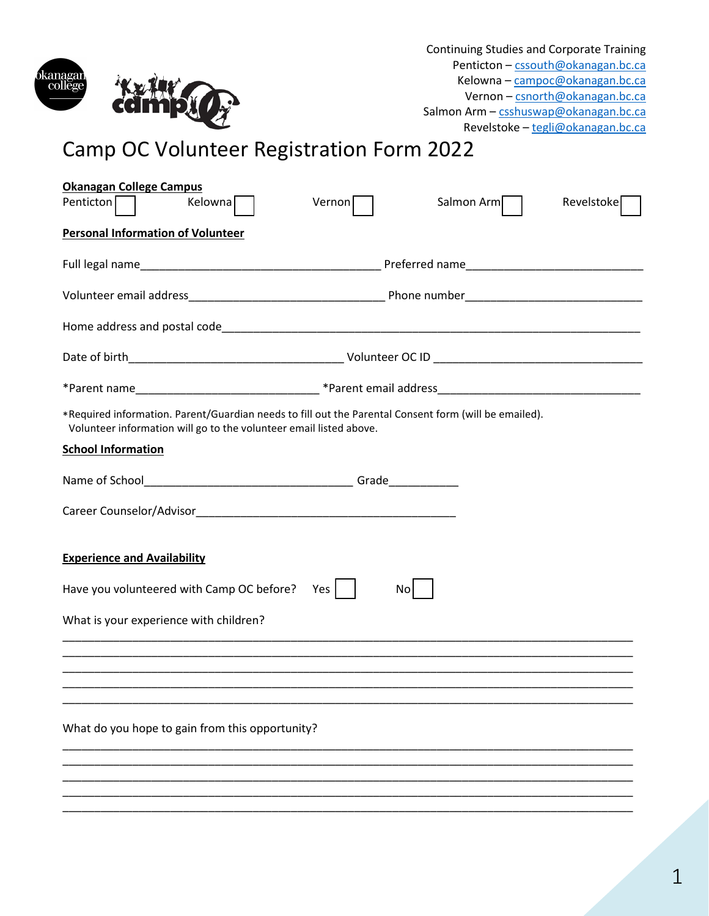

Continuing Studies and Corporate Training Penticton [– cssouth@okanagan.bc.ca](mailto:cssouth@okanagan.bc.ca) Kelowna – [campoc@okanagan.bc.ca](mailto:campoc@okanagan.bc.ca) Vernon – [csnorth@okanagan.bc.ca](mailto:csnorth@okanagan.bc.ca) Salmon Arm - [csshuswap@okanagan.bc.ca](mailto:csshuswap@okanagan.bc.ca) Revelstoke [– tegli@okanagan.bc.ca](mailto:tegli@okanagan.bc.ca)

# Camp OC Volunteer Registration Form 2022

| <b>Okanagan College Campus</b><br>Kelowna <sup>[</sup><br>Penticton<br>Vernon                                                                                               | Salmon Arm<br>Revelstoke |  |  |  |  |
|-----------------------------------------------------------------------------------------------------------------------------------------------------------------------------|--------------------------|--|--|--|--|
|                                                                                                                                                                             |                          |  |  |  |  |
| <b>Personal Information of Volunteer</b>                                                                                                                                    |                          |  |  |  |  |
|                                                                                                                                                                             |                          |  |  |  |  |
|                                                                                                                                                                             |                          |  |  |  |  |
|                                                                                                                                                                             |                          |  |  |  |  |
|                                                                                                                                                                             |                          |  |  |  |  |
|                                                                                                                                                                             |                          |  |  |  |  |
| *Required information. Parent/Guardian needs to fill out the Parental Consent form (will be emailed).<br>Volunteer information will go to the volunteer email listed above. |                          |  |  |  |  |
| <b>School Information</b>                                                                                                                                                   |                          |  |  |  |  |
|                                                                                                                                                                             |                          |  |  |  |  |
|                                                                                                                                                                             |                          |  |  |  |  |
|                                                                                                                                                                             |                          |  |  |  |  |
| <b>Experience and Availability</b>                                                                                                                                          |                          |  |  |  |  |
| Have you volunteered with Camp OC before?<br>Yes                                                                                                                            | No                       |  |  |  |  |
| What is your experience with children?                                                                                                                                      |                          |  |  |  |  |
|                                                                                                                                                                             |                          |  |  |  |  |
|                                                                                                                                                                             |                          |  |  |  |  |
|                                                                                                                                                                             |                          |  |  |  |  |
| What do you hope to gain from this opportunity?                                                                                                                             |                          |  |  |  |  |
|                                                                                                                                                                             |                          |  |  |  |  |
|                                                                                                                                                                             |                          |  |  |  |  |
|                                                                                                                                                                             |                          |  |  |  |  |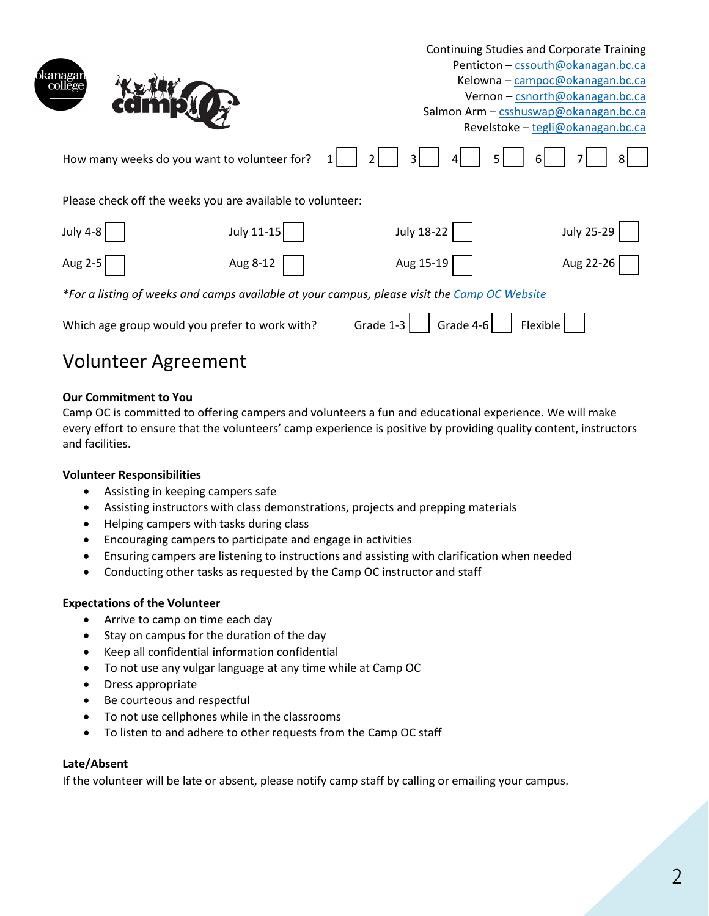|                                                                                              |                                                            | <b>Continuing Studies and Corporate Training</b><br>Penticton - cssouth@okanagan.bc.ca<br>Kelowna - campoc@okanagan.bc.ca<br>Vernon - csnorth@okanagan.bc.ca |                   |  |
|----------------------------------------------------------------------------------------------|------------------------------------------------------------|--------------------------------------------------------------------------------------------------------------------------------------------------------------|-------------------|--|
|                                                                                              |                                                            | Salmon Arm - csshuswap@okanagan.bc.ca<br>Revelstoke - tegli@okanagan.bc.ca                                                                                   |                   |  |
|                                                                                              | How many weeks do you want to volunteer for?               | $\overline{3}$                                                                                                                                               | 81.               |  |
|                                                                                              | Please check off the weeks you are available to volunteer: |                                                                                                                                                              |                   |  |
| <b>July 4-8</b>                                                                              | July 11-15                                                 | <b>July 18-22</b>                                                                                                                                            | <b>July 25-29</b> |  |
| Aug 2-5                                                                                      | Aug 8-12                                                   | Aug 15-19                                                                                                                                                    | Aug 22-26         |  |
| *For a listing of weeks and camps available at your campus, please visit the Camp OC Website |                                                            |                                                                                                                                                              |                   |  |
|                                                                                              | Which age group would you prefer to work with?             | Grade 1-3<br>Grade 4-6                                                                                                                                       | Flexible          |  |

# Volunteer Agreement

# **Our Commitment to You**

Camp OC is committed to offering campers and volunteers a fun and educational experience. We will make every effort to ensure that the volunteers' camp experience is positive by providing quality content, instructors and facilities.

### **Volunteer Responsibilities**

- Assisting in keeping campers safe
- Assisting instructors with class demonstrations, projects and prepping materials
- Helping campers with tasks during class
- Encouraging campers to participate and engage in activities
- Ensuring campers are listening to instructions and assisting with clarification when needed
- Conducting other tasks as requested by the Camp OC instructor and staff

#### **Expectations of the Volunteer**

- Arrive to camp on time each day
- Stay on campus for the duration of the day
- Keep all confidential information confidential
- To not use any vulgar language at any time while at Camp OC
- Dress appropriate
- Be courteous and respectful
- To not use cellphones while in the classrooms
- To listen to and adhere to other requests from the Camp OC staff

#### **Late/Absent**

If the volunteer will be late or absent, please notify camp staff by calling or emailing your campus.